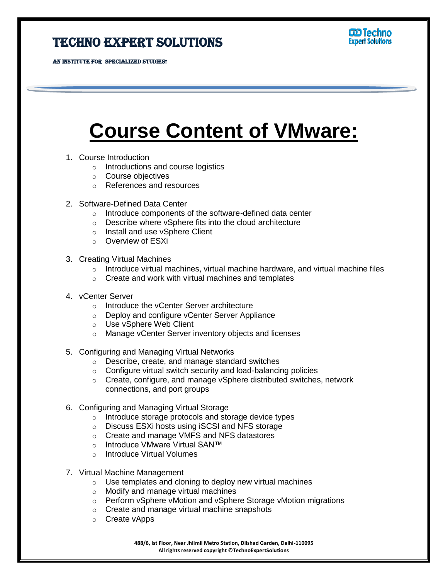## Techno Expert Solutions

AN INSTITUTE FOR SPECIALIZED STUDIES!

Ī

## **Course Content of VMware:**

- 1. Course Introduction
	- o Introductions and course logistics
	- o Course objectives
	- o References and resources
- 2. Software-Defined Data Center
	- o Introduce components of the software-defined data center
	- o Describe where vSphere fits into the cloud architecture
	- o Install and use vSphere Client
	- o Overview of ESXi
- 3. Creating Virtual Machines
	- $\circ$  Introduce virtual machines, virtual machine hardware, and virtual machine files
	- $\circ$  Create and work with virtual machines and templates
- 4. vCenter Server
	- o Introduce the vCenter Server architecture
	- o Deploy and configure vCenter Server Appliance
	- o Use vSphere Web Client
	- o Manage vCenter Server inventory objects and licenses
- 5. Configuring and Managing Virtual Networks
	- o Describe, create, and manage standard switches
	- o Configure virtual switch security and load-balancing policies
	- o Create, configure, and manage vSphere distributed switches, network connections, and port groups
- 6. Configuring and Managing Virtual Storage
	- o Introduce storage protocols and storage device types
	- o Discuss ESXi hosts using iSCSI and NFS storage
	- o Create and manage VMFS and NFS datastores
	- o Introduce VMware Virtual SAN™
	- o Introduce Virtual Volumes
- 7. Virtual Machine Management
	- $\circ$  Use templates and cloning to deploy new virtual machines
	- o Modify and manage virtual machines
	- o Perform vSphere vMotion and vSphere Storage vMotion migrations
	- o Create and manage virtual machine snapshots
	- o Create vApps

**488/6, Ist Floor, Near Jhilmil Metro Station, Dilshad Garden, Delhi-110095 All rights reserved copyright ©TechnoExpertSolutions**